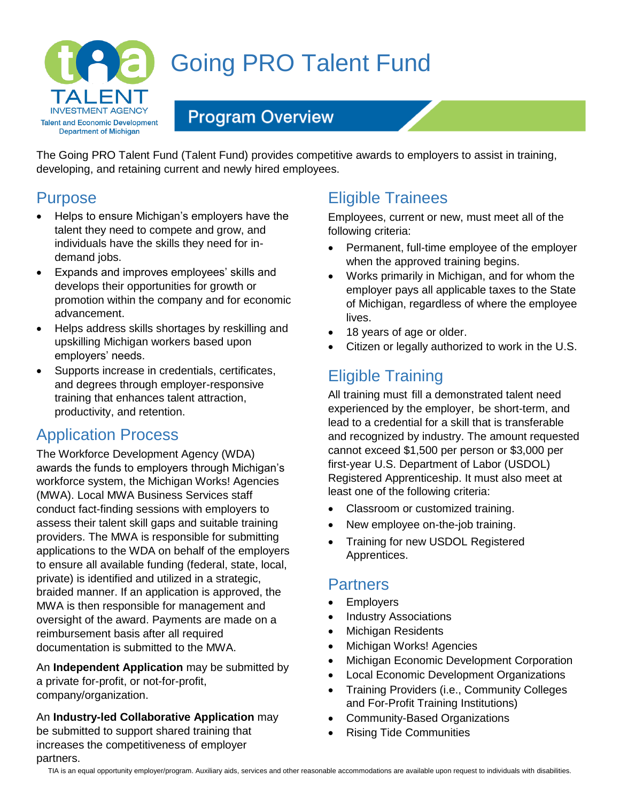

# Going PRO Talent Fund

## **Program Overview**

The Going PRO Talent Fund (Talent Fund) provides competitive awards to employers to assist in training, developing, and retaining current and newly hired employees.

### Purpose

- Helps to ensure Michigan's employers have the talent they need to compete and grow, and individuals have the skills they need for indemand jobs.
- Expands and improves employees' skills and develops their opportunities for growth or promotion within the company and for economic advancement.
- Helps address skills shortages by reskilling and upskilling Michigan workers based upon employers' needs.
- Supports increase in credentials, certificates, and degrees through employer-responsive training that enhances talent attraction, productivity, and retention.

## Application Process

The Workforce Development Agency (WDA) awards the funds to employers through Michigan's workforce system, the Michigan Works! Agencies (MWA). Local MWA Business Services staff conduct fact-finding sessions with employers to assess their talent skill gaps and suitable training providers. The MWA is responsible for submitting applications to the WDA on behalf of the employers to ensure all available funding (federal, state, local, private) is identified and utilized in a strategic, braided manner. If an application is approved, the MWA is then responsible for management and oversight of the award. Payments are made on a reimbursement basis after all required documentation is submitted to the MWA.

An **Independent Application** may be submitted by a private for-profit, or not-for-profit, company/organization.

An **Industry-led Collaborative Application** may be submitted to support shared training that increases the competitiveness of employer partners.

## Eligible Trainees

Employees, current or new, must meet all of the following criteria:

- Permanent, full-time employee of the employer when the approved training begins.
- Works primarily in Michigan, and for whom the employer pays all applicable taxes to the State of Michigan, regardless of where the employee lives.
- 18 years of age or older.
- Citizen or legally authorized to work in the U.S.

## Eligible Training

All training must fill a demonstrated talent need experienced by the employer, be short-term, and lead to a credential for a skill that is transferable and recognized by industry. The amount requested cannot exceed \$1,500 per person or \$3,000 per first-year U.S. Department of Labor (USDOL) Registered Apprenticeship. It must also meet at least one of the following criteria:

- Classroom or customized training.
- New employee on-the-job training.
- Training for new USDOL Registered Apprentices.

#### **Partners**

- **Employers**
- Industry Associations
- Michigan Residents
- Michigan Works! Agencies
- Michigan Economic Development Corporation
- Local Economic Development Organizations
- Training Providers (i.e., Community Colleges and For-Profit Training Institutions)
- Community-Based Organizations
- Rising Tide Communities